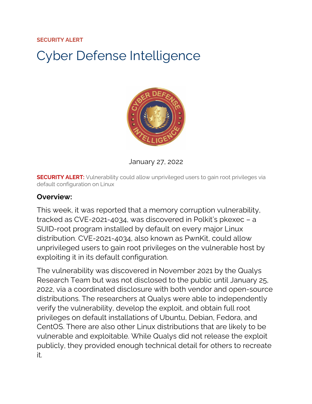#### **SECURITY ALERT**

# Cyber Defense Intelligence



January 27, 2022

**SECURITY ALERT:** Vulnerability could allow unprivileged users to gain root privileges via default configuration on Linux

#### **Overview:**

This week, it was reported that a memory corruption vulnerability, tracked as CVE-2021-4034, was discovered in Polkit's pkexec – a SUID-root program installed by default on every major Linux distribution. CVE-2021-4034, also known as PwnKit, could allow unprivileged users to gain root privileges on the vulnerable host by exploiting it in its default configuration.

The vulnerability was discovered in November 2021 by the Qualys Research Team but was not disclosed to the public until January 25, 2022, via a coordinated disclosure with both vendor and open-source distributions. The researchers at Qualys were able to independently verify the vulnerability, develop the exploit, and obtain full root privileges on default installations of Ubuntu, Debian, Fedora, and CentOS. There are also other Linux distributions that are likely to be vulnerable and exploitable. While Qualys did not release the exploit publicly, they provided enough technical detail for others to recreate it.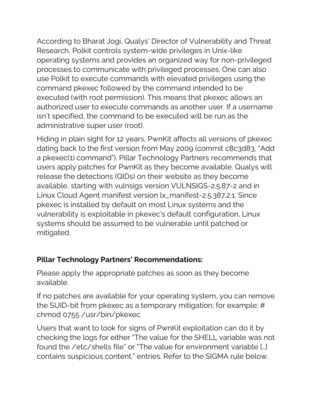According to Bharat Jogi, Qualys' Director of Vulnerability and Threat Research, Polkit controls system-wide privileges in Unix-like operating systems and provides an organized way for non-privileged processes to communicate with privileged processes. One can also use Polkit to execute commands with elevated privileges using the command pkexec followed by the command intended to be executed (with root permission). This means that pkexec allows an authorized user to execute commands as another user. If a username isn't specified, the command to be executed will be run as the administrative super user (root).

Hiding in plain sight for 12 years, PwnKit affects all versions of pkexec dating back to the first version from May 2009 (commit c8c3d83, "Add a pkexec(1) command"). Pillar Technology Partners recommends that users apply patches for PwnKit as they become available. Qualys will release the detections (QIDs) on their website as they become available, starting with vulnsigs version VULNSIGS-2.5.87-2 and in Linux Cloud Agent manifest version lx\_manifest-2.5.387.2.1. Since pkexec is installed by default on most Linux systems and the vulnerability is exploitable in pkexec's default configuration, Linux systems should be assumed to be vulnerable until patched or mitigated.

### **Pillar Technology Partners' Recommendations:**

Please apply the appropriate patches as soon as they become available.

If no patches are available for your operating system, you can remove the SUID-bit from pkexec as a temporary mitigation; for example: # chmod 0755 /usr/bin/pkexec

Users that want to look for signs of PwnKit exploitation can do it by checking the logs for either "The value for the SHELL variable was not found the /etc/shells file" or "The value for environment variable […] contains suspicious content." entries. Refer to the SIGMA rule below.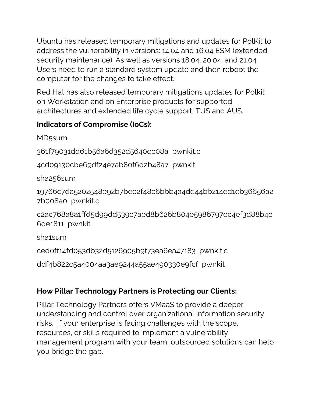Ubuntu has released temporary mitigations and updates for PolKit to address the vulnerability in versions: 14.04 and 16.04 ESM (extended security maintenance). As well as versions 18.04, 20.04, and 21.04. Users need to run a standard system update and then reboot the computer for the changes to take effect.

Red Hat has also released temporary mitigations updates for Polkit on Workstation and on Enterprise products for supported architectures and extended life cycle support, TUS and AUS.

## **Indicators of Compromise (IoCs):**

MD5sum

361f79031dd61b56a6d352d5640ec08a pwnkit.c

4cd09130cbe69df24e7ab80f6d2b48a7 pwnkit

sha256sum

19766c7da5202548e92b7bee2f48c6bbb4a4dd44bb214ed1eb36656a2 7b008a0 pwnkit.c

c2ac768a8a1ffd5d99dd539c7aed8b626b804e5986797ec4ef3d88b4c 6de1811 pwnkit

sha1sum

ced0ff14fd053db32d5126905b9f73ea6ea47183 pwnkit.c

ddf4b822c5a4004aa3ae9244a55ae490330e9fcf pwnkit

# **How Pillar Technology Partners is Protecting our Clients:**

Pillar Technology Partners offers VMaaS to provide a deeper understanding and control over organizational information security risks. If your enterprise is facing challenges with the scope, resources, or skills required to implement a vulnerability management program with your team, outsourced solutions can help you bridge the gap.